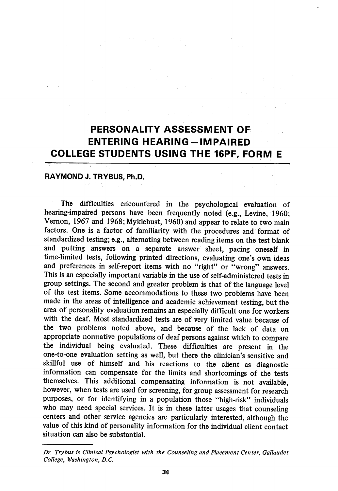# PERSONALITY ASSESSMENT OF ENTERING HEARING-IMPAIRED COLLEGE STUDENTS USING THE 16PF, FORM E

## RAYMOND J. TRYBUS, Ph.D.

The difficulties encountered in the psychological evaluation of hearing-impaired persons have been frequently noted (e.g., Levine, 1960; Vemon, 1967 and 1968; Myklebust, 1960) and appear to relate to two main factors. One is a factor of familiarity with the procedures and format of standardized testing; e.g., alternating between reading items on the test blank and putting answers on a separate answer sheet, pacing oneself in time-limited tests, following printed directions, evaluating one's own ideas and preferences in self-report items with no "right" or "wrong" answers. This is an especially important variable in the use of self-administered tests in group settings. The second and greater problem is that of the language level of the test items. Some accommodations to these two problems have been made in the areas of intelligence and academic achievement testing, but the area of personality evaluation remains an especially difficult one for workers with the deaf. Most standardized tests are of very limited value because of the two problems noted above, and because of the lack of data on appropriate normative populations of deaf persons against which to compare the individual being evaluated. These difficulties are present in the one-to-one evaluation setting as well, but there the clinician's sensitive and skillful use of himself and his reactions to the client as diagnostic information can compensate for the limits and shortcomings of the tests themselves. This additional compensating information is not available, however, when tests are used for screening, for group assessment for research purposes, or for identifying in a population those "high-risk" individuals who may need special services. It is in these latter usages that counseling centers and other service agencies are particularly interested, although the value of this kind of personality information for the individual client contact situation can also be substantial.

Dr. Trybus is Clinical Psychologist with the Counseling and Placement Center, Gallaudet College, Washington, B.C.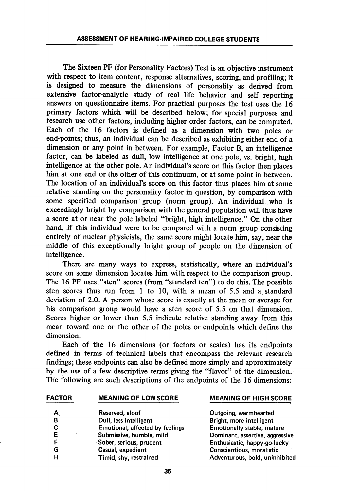The Sixteen PF (for Personality Factors) Test is an objective instrument with respect to item content, response alternatives, scoring, and profiling; it is designed to measure the dimensions of personality as derived from extensive factor-analytic study of real life behavior and self reporting answers on questionnaire items. For practical purposes the test uses the 16 primary factors which will be described below; for special purposes and tesearch use other factors, including higher order factors, can be computed. Each of the 16 factors is defined as a dimension with two poles or end-points; thus, an individual can be described as exhibiting either end of a dimension or any point in between. For example, Factor B, an intelligence factor, can be labeled as dull, low intelligence at one pole, vs. bright, high intelligence at the other pole. An individual's score on this factor then places him at one end or the other of this continuum, or at some point in between. The location of an individual's score on this factor thus places him at some relative standing on the personality factor in question, by comparison with some specified comparison group (norm group). An individual who is exceedingly bright by comparison with the general population wiU thus have a score at or near the pole labeled "bright, high intelhgence." On the other hand, if this individual were to be compared with a norm group consisting entirely of nuclear physicists, the same score might locate him, say, near the middle of this exceptionally bright group of people on the dimension of intelligence.

There are many ways to express, statistically, where an individual's score on some dimension locates him with respect to the comparison group. The 16 PF uses "sten" scores (from "standard ten") to do this. The possible sten scores thus run from 1 to 10, with a mean of 5.5 and a standard deviation of 2.0. A person whose score is exactly at the mean or average for his comparison group would have a sten score of 5.5 on that dimension. Scores higher or lower than 5.5 indicate relative standing away from this mean toward one or the other of the poles or endpoints which define the dimension.

Each of the 16 dimensions (or factors or scales) has its endpoints defined in terms of technical labels that encompass the relevant research findings; these endpoints can also be defined more simply and approximately by the use of a few descriptive terms giving the "flavor" of the dimension. The following are such descriptions of the endpoints of the 16 dimensions:

#### FACTOR MEANING OF LOW SCORE MEANING OF HIGH SCORE

| A  | Reserved, aloof                 |
|----|---------------------------------|
| B  | Dull, less intelligent          |
| C  | Emotional, affected by feelings |
| Е  | Submissive, humble, mild        |
| F  | Sober, serious, prudent         |
| G. | Casual, expedient               |
| H  | Timid. shv. restrained          |

Outgoing, warmhearted Bright, more intelligent s **Emotionally stable, mature** Dominant, assertive, aggressive Enthusiastic, happy-go-lucky Conscientious, moralistic Fimid, shy, restrained and all research adventurous, bold, uninhibited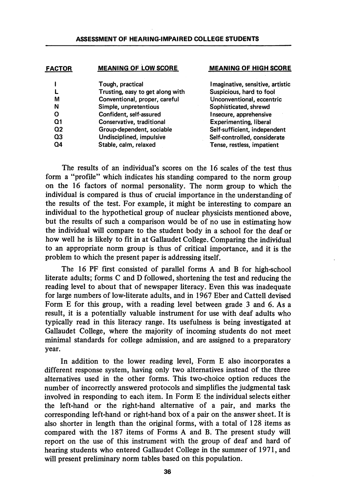| <b>FACTOR</b> | <b>MEANING OF LOW SCORE</b>      | <b>MEANING OF HIGH SCORE</b>     |  |  |  |  |
|---------------|----------------------------------|----------------------------------|--|--|--|--|
|               | Tough, practical                 | Imaginative, sensitive, artistic |  |  |  |  |
|               | Trusting, easy to get along with | Suspicious, hard to fool         |  |  |  |  |
| М             | Conventional, proper, careful    | Unconventional, eccentric        |  |  |  |  |
| N             | Simple, unpretentious            | Sophisticated, shrewd            |  |  |  |  |
| O             | Confident, self-assured          | Insecure, apprehensive           |  |  |  |  |
| Ω1            | Conservative, traditional        | <b>Experimenting, liberal</b>    |  |  |  |  |
| Ω2            | Group-dependent, sociable        | Self-sufficient, independent     |  |  |  |  |
| Q3            | Undisciplined, impulsive         | Self-controlled, considerate     |  |  |  |  |
| Q4            | Stable, calm, relaxed            | Tense, restless, impatient       |  |  |  |  |
|               |                                  |                                  |  |  |  |  |

The results of an individual's scores on the 16 scales of the test thus form a "profile" which indicates his standing compared to the norm group on the 16 factors of normal personality. The norm group to which the individual is compared is thus of crucial importance in the understanding of the results of the test. For example, it might be interesting to compare an individual to the hypothetical group of nuclear physicists mentioned above, but the results of such a comparison would be of no use in estimating how the individual will compare to the student body in a school for the deaf or how well he is likely to fit in at Gallaudet College. Comparing the individual to an appropriate norm group is thus of critical importance, and it is the problem to which the present paper is addressing itself.

The 16 PF first consisted of parallel forms A and B for high-school hterate adults; forms C and D followed, shortening the test and reducing the reading level to about that of newspaper literacy. Even this was inadequate for large numbers of low-literate adults, and in 1967 Eber and Cattell devised Form E for this group, with a reading level between grade 3 and 6. As a result, it is a potentially valuable instrument for use with deaf adults who typically read in this literacy range. Its usefulness is being investigated at Gallaudet College, where the majority of incoming students do not meet minimal standards for college admission, and are assigned to a preparatory year.

In addition to the lower reading level. Form E also incorporates a different response system, having only two alternatives instead of the three alternatives used in the other forms. This two-choice option reduces the number of incorrectly answered protocols and simplifies the judgmental task involved in responding to each item. In Form E the individual selects either the left-hand or the right-hand alternative of a pair, and marks the corresponding left-hand or right-hand box of a pair on the answer sheet. It is also shorter in length than the original forms, with a total of 128 items as compared with the 187 items of Forms A and B. The present study will report on the use of this instrument with the group of deaf and hard of hearing students who entered Gallaudet College in the summer of 1971, and will present preliminary norm tables based on this population.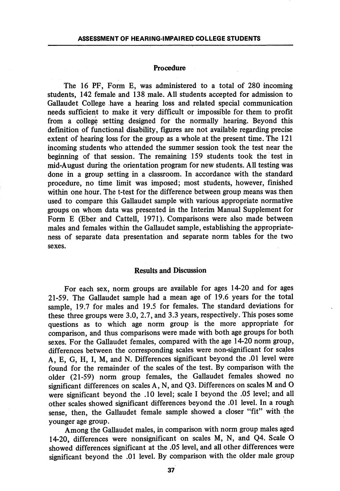### Procedure

The 16 PF, Form E, was administered to a total of 280 incoming students, 142 female and 138 male. All students accepted for admission to Gallaudet College have a hearing loss and related special communication needs sufficient to make it very difficult or impossible for them to profit from a college setting designed for the normally hearing. Beyond this definition of functional disability, figures are not available regarding precise extent of hearing loss for the group as a whole at the present time. The 121 incoming students who attended the summer session took the test near the beginning of that session. The remaining 159 students took the test in mid-August during the orientation program for new students. All testing was done in a group setting in a classroom. In accordance with the standard procedure, no time limit was imposed; most students, however, finished within one hour. The t-test for the difference between group means was then used to compare this Gallaudet sample with various appropriate normative groups on whom data was presented in the Interim Manual Supplement for Form E (Eber and Cattell, 1971). Comparisons were also made between males and females within the Gallaudet sample, establishing the appropriate ness of separate data presentation and separate norm tables for the two sexes.

## Results and Discussion

For each sex, norm groups are available for ages 14-20 and for ages 21-59. The Gallaudet sample had a mean age of 19.6 years for the total sample, 19.7 for males and 19.5 for females. The standard deviations for these three groups were 3.0, 2.7, and 3.3 years, respectively. This poses some questions as to which age norm group is the more appropriate for comparison, and thus comparisons were made with both age groups for both sexes. For the Gallaudet females, compared with the age 14-20 norm group, differences between the corresponding scales were non-significant for scales A, E, G, H, I, M, and N. Differences significant beyond the .01 level were found for the remainder of the scales of the test. By comparison with the older (21-59) norm group females, the Gallaudet females showed no significant differences on scales A, N, and Q3. Differences on scales M and O were significant beyond the .10 level; scale I beyond the .05 level; and all other scales showed significant differences beyond the .01 level. In a rough sense, then, the Gallaudet female sample showed a closer "fit" with the younger age group.

Among the Gallaudet males, in comparison with norm group males aged 14-20, differences were nonsignificant on scales M, N, and Q4. Scale O showed differences significant at the .05 level, and all other differences were significant beyond the .01 level. By comparison with the older male group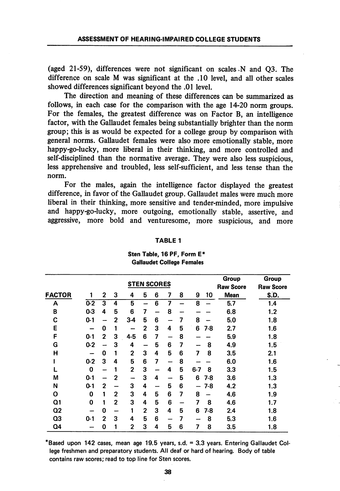(aged 21-59), differences were not significant on scales .N and Q3. The difference on scale M was significant at the .10 level, and all other scales showed differences significant beyond the .01 level.

The direction and meaning of these differences can be summarized as follows, in each case for the comparison with the age 14-20 norm groups. For the females, the greatest difference was on Factor B, an intelligence factor, with the Gallaudet females being substantially brighter than the norm group; this is as would be expected for a college group by comparison with general norms. Gallaudet females were also more emotionally stable, more happy-go-lucky, more liberal in their thinking, and more controlled and self-disciplined than the normative average. They were also less suspicious, less apprehensive and troubled, less self-sufficient, and less tense than the norm.

For the males, again the intelligence factor displayed the greatest difference, in favor of the Gallaudet group. Gallaudet males were much more liberal in their thinking, more sensitive and tender-minded, more impulsive and happy-go-lucky, more outgoing, emotionally stable, assertive, and aggressive, more bold and venturesome, more suspicious, and more

|                |         |              |                | <b>STEN SCORES</b> | Group<br><b>Raw Score</b> | Group<br><b>Raw Score</b> |    |   |              |             |      |
|----------------|---------|--------------|----------------|--------------------|---------------------------|---------------------------|----|---|--------------|-------------|------|
| <b>FACTOR</b>  |         | 2            | 3              | 4                  | 5                         | 6                         | 7  | 8 | 9<br>10      | <b>Mean</b> | S.D. |
| Α              | $0-2$   | 3            | 4              | 5                  |                           | 6                         | 7  |   | 8            | 5.7         | 1.4  |
| B              | 0-3     | 4            | 5              | 6                  | 7                         |                           | 8  |   |              | 6.8         | 1.2  |
| C              | $0 - 1$ |              | $\overline{2}$ | $3-4$              | 5                         | 6                         |    | 7 | 8            | 5.0         | 1.8  |
| Ε              | -       | 0            | 1              |                    | 2                         | 3                         | 4  | 5 | 6<br>7-8     | 2.7         | 1.6  |
| F              | $0-1$   | 2            | З              | $4 - 5$            | 6                         | 7                         |    | 8 |              | 5.9         | 1.8  |
| G              | $0-2$   |              | 3              | 4                  |                           | 5                         | 6  | 7 | 8            | 4.9         | 1.5  |
| Н              |         | 0            | 1              | $\mathbf 2$        | 3                         | 4                         | 5  | 6 | 8<br>7       | 3.5         | 2.1  |
|                | $0 - 2$ | 3            | 4              | 5                  | 6                         | 7                         | -  | 8 |              | 6.0         | 1.6  |
|                | 0       | -            | 1              | 2                  | 3                         |                           | 4  | 5 | $6 - 7$<br>8 | 3.3         | 1.5  |
| М              | $0 - 1$ |              | 2              | ---                | 3                         | 4                         | -- | 5 | 6<br>$7-8$   | 3.6         | 1.3  |
| N              | $0-1$   | 2            |                | 3                  | 4                         |                           | 5  | 6 | 7-8          | 4.2         | 1.3  |
| O              | 0       | 1            | 2              | 3                  | 4                         | 5                         | 6  | 7 | 8            | 4.6         | 1.9  |
| Q1             | 0       | 1            | $\overline{2}$ | 3                  | 4                         | 5                         | 6  |   | 7<br>8       | 4.6         | 1.7  |
| Q2             |         | 0            |                | 1                  | 2                         | 3                         | 4  | 5 | 6<br>7-8     | 2.4         | 1.8  |
| Q <sub>3</sub> | $0 - 1$ | $\mathbf{z}$ | 3              | 4                  | 5                         | 6                         | -  | 7 | 8            | 5.3         | 1.6  |
| Q4             |         | 0            | 1              | $\overline{2}$     | 3                         | 4                         | 5  | 6 | 7<br>8       | 3.5         | 1.8  |

#### TABLE 1

# Sten Table, 16 PF, Form E\* Gallaudet College Females

'Based upon 142 cases, mean age 19.5 years, s.d. = 3.3 years. Entering Gallaudet Col lege freshmen and preparatory students. All deaf or hard of hearing. Body of table contains raw scores; read to top line for Sten scores.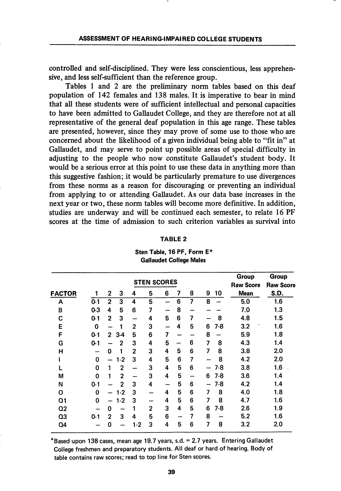controlled and self-disciplined. They were less conscientious, less apprehen sive, and less self-sufficient than the reference group.

Tables 1 and 2 are the preliminary norm tables based on this deaf population of 142 females and 138 males. It is imperative to bear in mind that all these students were of sufficient intellectual and personal capacities to have been admitted to Gallaudet College, and they are therefore not at all representative of the general deaf population in this age range. These tables are presented, however, since they may prove of some use to those who are concerned about the likehhood of a given individual being able to "fit in" at Gallaudet, and may serve to point up possible areas of special difficulty in adjusting to the people who now constitute Gallaudet's student body. It would be a serious error at this point to use these data in anything more than this suggestive fashion; it would be particularly premature to use divergences from these norms as a reason for discouraging or preventing an individual from applying to or attending Gallaudet. As our data base increases in the next year or two, these norm tables will become more definitive. In addition, studies are underway and will be continued each semester, to relate 16 PF scores at the time of admission to such criterion variables as survival into

#### TABLE 2

Sten Table, 16 PF, Form E\* Gallaudet College Males

|                |         |                |                | <b>STEN SCORES</b> | Group<br><b>Raw Score</b> | <b>Group</b><br><b>Raw Score</b> |                |   |   |       |             |      |
|----------------|---------|----------------|----------------|--------------------|---------------------------|----------------------------------|----------------|---|---|-------|-------------|------|
| <b>FACTOR</b>  |         | 2              | 3              | 4                  | 5                         | 6                                | 7              | 8 | 9 | 10    | <b>Mean</b> | S.D. |
| A              | $0-1$   | $\mathbf{2}$   | 3              | 4                  | 5                         |                                  | 6              | 7 | 8 |       | 5.0         | 1.6  |
| B              | $0-3$   | 4              | 5              | 6                  | 7                         |                                  | 8              |   |   |       | 7.0         | 1.3  |
| C              | $0-1$   | $\overline{2}$ | 3              |                    | 4                         | 5                                | 6              | 7 |   | 8     | 4.8         | 1.5  |
| Ε              | 0       | -              | 1              | 2                  | 3                         |                                  | 4              | 5 | 6 | 7-8   | 3.2         | 1.6  |
| È              | $0 - 1$ | $\overline{2}$ | $3-4$          | 5                  | 6                         | 7                                | -              |   | 8 |       | 5.9         | 1.8  |
| G              | $0 - 1$ |                | $\overline{2}$ | 3                  | 4                         | 5                                |                | 6 | 7 | 8     | 4.3         | 1.4  |
| н              | -       | 0              | 1              | 2                  | 3                         | 4                                | 5              | 6 | 7 | 8     | 3.8         | 2.0  |
|                | 0       | -              | $1-2$          | 3                  | 4                         | 5                                | 6              | 7 |   | 8     | 4.2         | 2.0  |
|                | 0       | 1              | $\overline{2}$ |                    | 3                         | 4                                | 5              | 6 |   | 7-8   | 3.8         | 1.6  |
| M              | 0       | 1              | $\mathbf{2}$   |                    | 3                         | 4                                | 5              |   | 6 | $7-8$ | 3.6         | 1.4  |
| N              | $0 - 1$ |                | $\overline{2}$ | 3                  | 4                         | —                                | 5              | 6 |   | 7-8   | 4.2         | 1.4  |
| O              | 0       |                | $1 - 2$        | 3                  |                           | 4                                | $5\phantom{1}$ | 6 | 7 | 8     | 4.0         | 1.8  |
| Q1             | 0       |                | $1 - 2$        | 3                  |                           | 4                                | 5              | 6 | 7 | 8     | 4.7         | 1.6  |
| Q <sub>2</sub> |         | 0              |                |                    | 2                         | 3                                | 4              | 5 | 6 | $7-8$ | 2.6         | 1.9  |
| Q3             | $0 - 1$ | $\mathbf{2}$   | 3              | 4                  | 5                         | 6                                |                | 7 | 8 |       | 5.2         | 1.6  |
| Q4             |         | 0              |                | $1-2$              | 3                         | 4                                | 5              | 6 | 7 | 8     | 3.2         | 2.0  |

"Based upon 138 cases, mean age 19.7 years, s.d. = 2.7 years. Entering Gallaudet College freshmen and preparatory students. All deaf or hard of hearing. Body of table contains raw scores; read to top line for Sten scores.